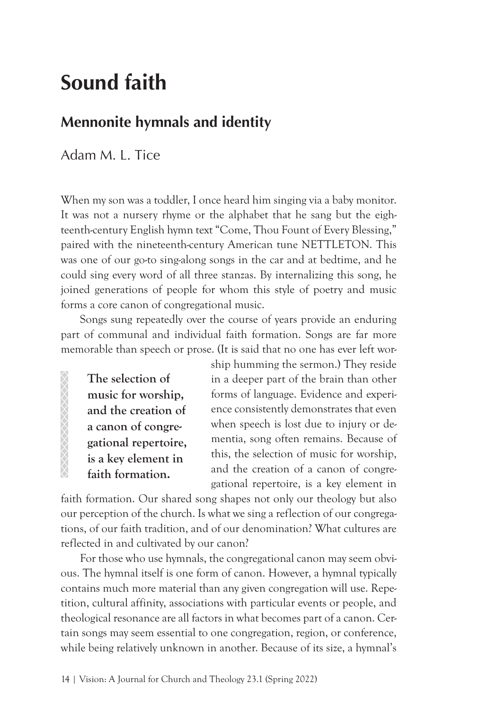# **Sound faith**

# **Mennonite hymnals and identity**

Adam M. L. Tice

When my son was a toddler, I once heard him singing via a baby monitor. It was not a nursery rhyme or the alphabet that he sang but the eighteenth-century English hymn text "Come, Thou Fount of Every Blessing," paired with the nineteenth-century American tune NETTLETON. This was one of our go-to sing-along songs in the car and at bedtime, and he could sing every word of all three stanzas. By internalizing this song, he joined generations of people for whom this style of poetry and music forms a core canon of congregational music.

Songs sung repeatedly over the course of years provide an enduring part of communal and individual faith formation. Songs are far more memorable than speech or prose. (It is said that no one has ever left wor-

**The selection of music for worship, and the creation of a canon of congregational repertoire, is a key element in faith formation.**

ship humming the sermon.) They reside in a deeper part of the brain than other forms of language. Evidence and experience consistently demonstrates that even when speech is lost due to injury or dementia, song often remains. Because of this, the selection of music for worship, and the creation of a canon of congregational repertoire, is a key element in

faith formation. Our shared song shapes not only our theology but also our perception of the church. Is what we sing a reflection of our congregations, of our faith tradition, and of our denomination? What cultures are reflected in and cultivated by our canon?

For those who use hymnals, the congregational canon may seem obvious. The hymnal itself is one form of canon. However, a hymnal typically contains much more material than any given congregation will use. Repetition, cultural affinity, associations with particular events or people, and theological resonance are all factors in what becomes part of a canon. Certain songs may seem essential to one congregation, region, or conference, while being relatively unknown in another. Because of its size, a hymnal's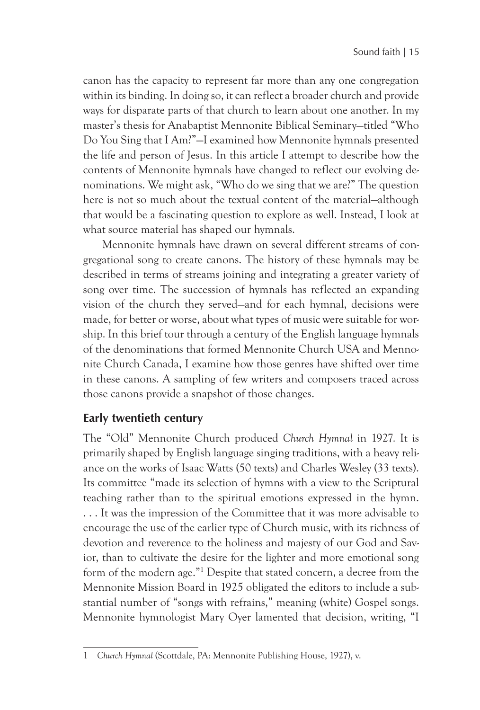canon has the capacity to represent far more than any one congregation within its binding. In doing so, it can reflect a broader church and provide ways for disparate parts of that church to learn about one another. In my master's thesis for Anabaptist Mennonite Biblical Seminary—titled "Who Do You Sing that I Am?"—I examined how Mennonite hymnals presented the life and person of Jesus. In this article I attempt to describe how the contents of Mennonite hymnals have changed to reflect our evolving denominations. We might ask, "Who do we sing that we are?" The question here is not so much about the textual content of the material—although that would be a fascinating question to explore as well. Instead, I look at what source material has shaped our hymnals.

Mennonite hymnals have drawn on several different streams of congregational song to create canons. The history of these hymnals may be described in terms of streams joining and integrating a greater variety of song over time. The succession of hymnals has reflected an expanding vision of the church they served—and for each hymnal, decisions were made, for better or worse, about what types of music were suitable for worship. In this brief tour through a century of the English language hymnals of the denominations that formed Mennonite Church USA and Mennonite Church Canada, I examine how those genres have shifted over time in these canons. A sampling of few writers and composers traced across those canons provide a snapshot of those changes.

#### **Early twentieth century**

The "Old" Mennonite Church produced *Church Hymnal* in 1927. It is primarily shaped by English language singing traditions, with a heavy reliance on the works of Isaac Watts (50 texts) and Charles Wesley (33 texts). Its committee "made its selection of hymns with a view to the Scriptural teaching rather than to the spiritual emotions expressed in the hymn. . . . It was the impression of the Committee that it was more advisable to encourage the use of the earlier type of Church music, with its richness of devotion and reverence to the holiness and majesty of our God and Savior, than to cultivate the desire for the lighter and more emotional song form of the modern age."1 Despite that stated concern, a decree from the Mennonite Mission Board in 1925 obligated the editors to include a substantial number of "songs with refrains," meaning (white) Gospel songs. Mennonite hymnologist Mary Oyer lamented that decision, writing, "I

<sup>1</sup> *Church Hymnal* (Scottdale, PA: Mennonite Publishing House, 1927), v.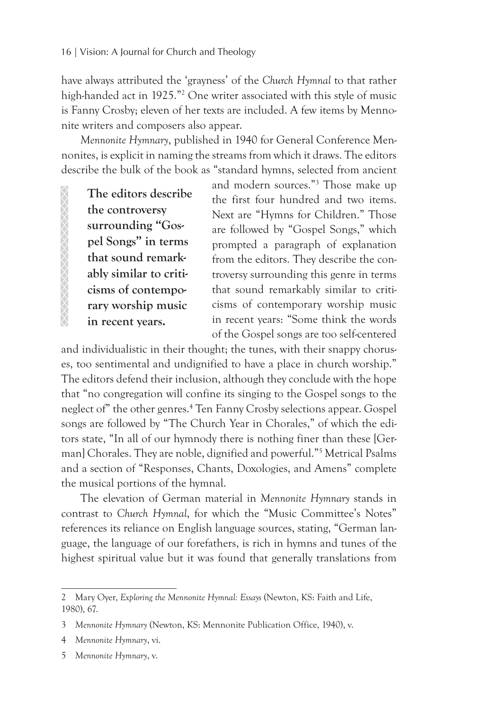have always attributed the 'grayness' of the *Church Hymnal* to that rather high-handed act in 1925."2 One writer associated with this style of music is Fanny Crosby; eleven of her texts are included. A few items by Mennonite writers and composers also appear.

*Mennonite Hymnary*, published in 1940 for General Conference Mennonites, is explicit in naming the streams from which it draws. The editors describe the bulk of the book as "standard hymns, selected from ancient

**The editors describe the controversy surrounding "Gospel Songs" in terms that sound remarkably similar to criticisms of contemporary worship music in recent years.**

and modern sources."3 Those make up the first four hundred and two items. Next are "Hymns for Children." Those are followed by "Gospel Songs," which prompted a paragraph of explanation from the editors. They describe the controversy surrounding this genre in terms that sound remarkably similar to criticisms of contemporary worship music in recent years: "Some think the words of the Gospel songs are too self-centered

and individualistic in their thought; the tunes, with their snappy choruses, too sentimental and undignified to have a place in church worship." The editors defend their inclusion, although they conclude with the hope that "no congregation will confine its singing to the Gospel songs to the neglect of" the other genres.4 Ten Fanny Crosby selections appear. Gospel songs are followed by "The Church Year in Chorales," of which the editors state, "In all of our hymnody there is nothing finer than these [German] Chorales. They are noble, dignified and powerful."5 Metrical Psalms and a section of "Responses, Chants, Doxologies, and Amens" complete the musical portions of the hymnal.

The elevation of German material in *Mennonite Hymnary* stands in contrast to *Church Hymnal*, for which the "Music Committee's Notes" references its reliance on English language sources, stating, "German language, the language of our forefathers, is rich in hymns and tunes of the highest spiritual value but it was found that generally translations from

<sup>2</sup> Mary Oyer, *Exploring the Mennonite Hymnal: Essays* (Newton, KS: Faith and Life, 1980), 67.

<sup>3</sup> *Mennonite Hymnary* (Newton, KS: Mennonite Publication Office, 1940), v.

<sup>4</sup> *Mennonite Hymnary*, vi.

<sup>5</sup> *Mennonite Hymnary*, v.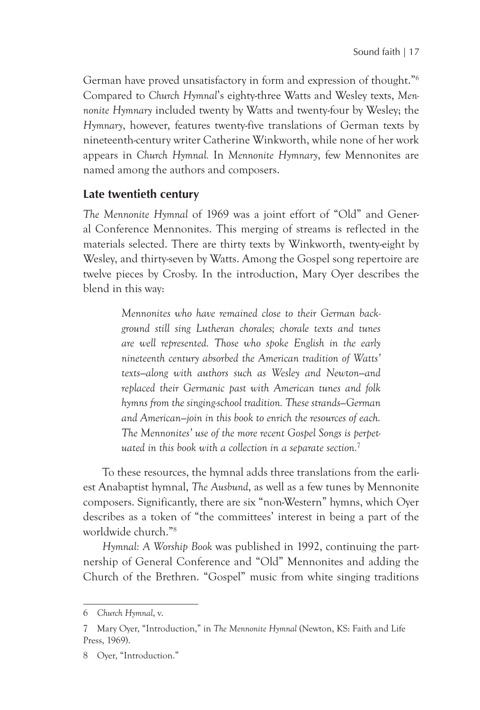German have proved unsatisfactory in form and expression of thought."6 Compared to *Church Hymnal*'s eighty-three Watts and Wesley texts, *Mennonite Hymnary* included twenty by Watts and twenty-four by Wesley; the *Hymnary*, however, features twenty-five translations of German texts by nineteenth-century writer Catherine Winkworth, while none of her work appears in *Church Hymnal.* In *Mennonite Hymnary*, few Mennonites are named among the authors and composers.

## **Late twentieth century**

*The Mennonite Hymnal* of 1969 was a joint effort of "Old" and General Conference Mennonites. This merging of streams is reflected in the materials selected. There are thirty texts by Winkworth, twenty-eight by Wesley, and thirty-seven by Watts. Among the Gospel song repertoire are twelve pieces by Crosby. In the introduction, Mary Oyer describes the blend in this way:

> *Mennonites who have remained close to their German background still sing Lutheran chorales; chorale texts and tunes are well represented. Those who spoke English in the early nineteenth century absorbed the American tradition of Watts' texts—along with authors such as Wesley and Newton—and replaced their Germanic past with American tunes and folk hymns from the singing-school tradition. These strands—German and American—join in this book to enrich the resources of each. The Mennonites' use of the more recent Gospel Songs is perpetuated in this book with a collection in a separate section.*<sup>7</sup>

To these resources, the hymnal adds three translations from the earliest Anabaptist hymnal, *The Ausbund*, as well as a few tunes by Mennonite composers. Significantly, there are six "non-Western" hymns, which Oyer describes as a token of "the committees' interest in being a part of the worldwide church."8

*Hymnal: A Worship Book* was published in 1992, continuing the partnership of General Conference and "Old" Mennonites and adding the Church of the Brethren. "Gospel" music from white singing traditions

<sup>6</sup> *Church Hymnal*, v.

<sup>7</sup> Mary Oyer, "Introduction," in *The Mennonite Hymnal* (Newton, KS: Faith and Life Press, 1969).

<sup>8</sup> Oyer, "Introduction."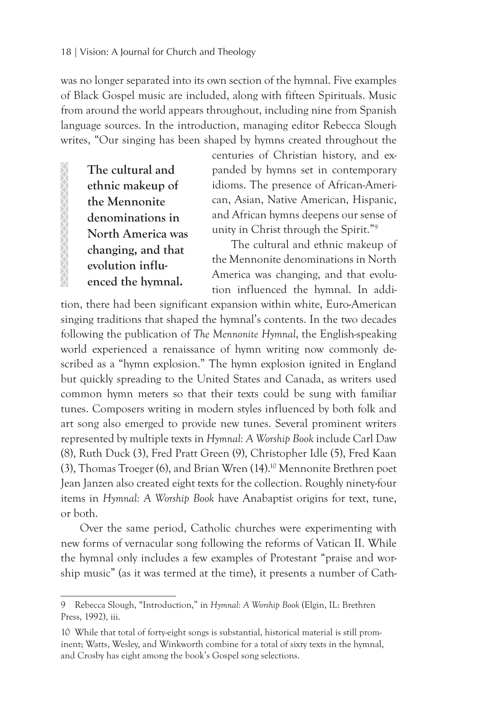was no longer separated into its own section of the hymnal. Five examples of Black Gospel music are included, along with fifteen Spirituals. Music from around the world appears throughout, including nine from Spanish language sources. In the introduction, managing editor Rebecca Slough writes, "Our singing has been shaped by hymns created throughout the

**The cultural and ethnic makeup of the Mennonite denominations in North America was changing, and that evolution influenced the hymnal.** 

centuries of Christian history, and expanded by hymns set in contemporary idioms. The presence of African-American, Asian, Native American, Hispanic, and African hymns deepens our sense of unity in Christ through the Spirit."9

The cultural and ethnic makeup of the Mennonite denominations in North America was changing, and that evolution influenced the hymnal. In addi-

tion, there had been significant expansion within white, Euro-American singing traditions that shaped the hymnal's contents. In the two decades following the publication of *The Mennonite Hymnal*, the English-speaking world experienced a renaissance of hymn writing now commonly described as a "hymn explosion." The hymn explosion ignited in England but quickly spreading to the United States and Canada, as writers used common hymn meters so that their texts could be sung with familiar tunes. Composers writing in modern styles influenced by both folk and art song also emerged to provide new tunes. Several prominent writers represented by multiple texts in *Hymnal: A Worship Book* include Carl Daw (8), Ruth Duck (3), Fred Pratt Green (9), Christopher Idle (5), Fred Kaan (3), Thomas Troeger (6), and Brian Wren (14).10 Mennonite Brethren poet Jean Janzen also created eight texts for the collection. Roughly ninety-four items in *Hymnal: A Worship Book* have Anabaptist origins for text, tune, or both.

Over the same period, Catholic churches were experimenting with new forms of vernacular song following the reforms of Vatican II. While the hymnal only includes a few examples of Protestant "praise and worship music" (as it was termed at the time), it presents a number of Cath-

<sup>9</sup> Rebecca Slough, "Introduction," in *Hymnal: A Worship Book* (Elgin, IL: Brethren Press, 1992), iii.

<sup>10</sup> While that total of forty-eight songs is substantial, historical material is still prominent; Watts, Wesley, and Winkworth combine for a total of sixty texts in the hymnal, and Crosby has eight among the book's Gospel song selections.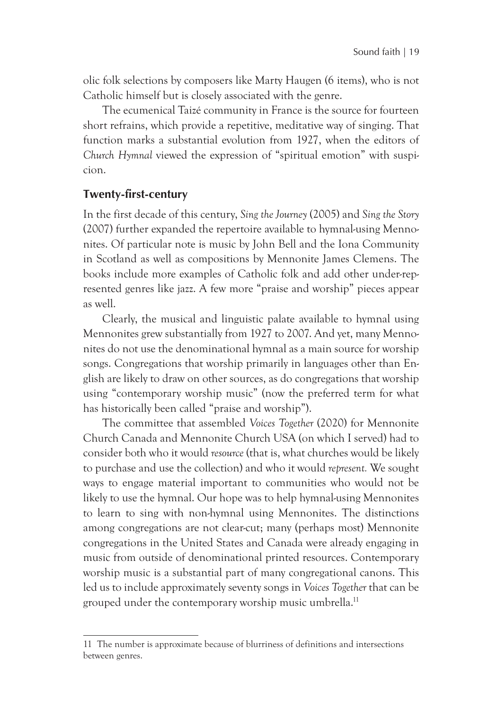olic folk selections by composers like Marty Haugen (6 items), who is not Catholic himself but is closely associated with the genre.

The ecumenical Taizé community in France is the source for fourteen short refrains, which provide a repetitive, meditative way of singing. That function marks a substantial evolution from 1927, when the editors of *Church Hymnal* viewed the expression of "spiritual emotion" with suspicion.

#### **Twenty-first-century**

In the first decade of this century, *Sing the Journey* (2005) and *Sing the Story*  (2007) further expanded the repertoire available to hymnal-using Mennonites. Of particular note is music by John Bell and the Iona Community in Scotland as well as compositions by Mennonite James Clemens. The books include more examples of Catholic folk and add other under-represented genres like jazz. A few more "praise and worship" pieces appear as well.

Clearly, the musical and linguistic palate available to hymnal using Mennonites grew substantially from 1927 to 2007. And yet, many Mennonites do not use the denominational hymnal as a main source for worship songs. Congregations that worship primarily in languages other than English are likely to draw on other sources, as do congregations that worship using "contemporary worship music" (now the preferred term for what has historically been called "praise and worship").

The committee that assembled *Voices Together* (2020) for Mennonite Church Canada and Mennonite Church USA (on which I served) had to consider both who it would *resource* (that is, what churches would be likely to purchase and use the collection) and who it would *represent.* We sought ways to engage material important to communities who would not be likely to use the hymnal. Our hope was to help hymnal-using Mennonites to learn to sing with non-hymnal using Mennonites. The distinctions among congregations are not clear-cut; many (perhaps most) Mennonite congregations in the United States and Canada were already engaging in music from outside of denominational printed resources. Contemporary worship music is a substantial part of many congregational canons. This led us to include approximately seventy songs in *Voices Together* that can be grouped under the contemporary worship music umbrella.<sup>11</sup>

<sup>11</sup> The number is approximate because of blurriness of definitions and intersections between genres.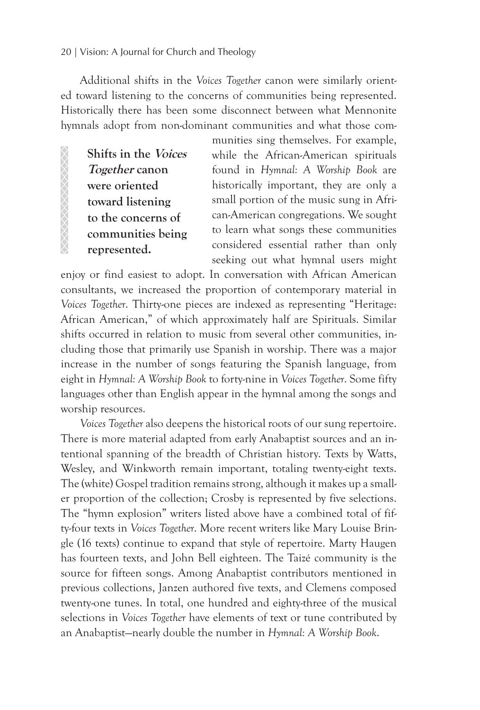#### 20 | Vision: A Journal for Church and Theology

Additional shifts in the *Voices Together* canon were similarly oriented toward listening to the concerns of communities being represented. Historically there has been some disconnect between what Mennonite hymnals adopt from non-dominant communities and what those com-

**Shifts in the Voices Together canon were oriented toward listening to the concerns of communities being represented.** 

 $\infty$ 

munities sing themselves. For example, while the African-American spirituals found in *Hymnal: A Worship Book* are historically important, they are only a small portion of the music sung in African-American congregations. We sought to learn what songs these communities considered essential rather than only seeking out what hymnal users might

enjoy or find easiest to adopt. In conversation with African American consultants, we increased the proportion of contemporary material in *Voices Together*. Thirty-one pieces are indexed as representing "Heritage: African American," of which approximately half are Spirituals. Similar shifts occurred in relation to music from several other communities, including those that primarily use Spanish in worship. There was a major increase in the number of songs featuring the Spanish language, from eight in *Hymnal: A Worship Book* to forty-nine in *Voices Together*. Some fifty languages other than English appear in the hymnal among the songs and worship resources.

*Voices Together* also deepens the historical roots of our sung repertoire. There is more material adapted from early Anabaptist sources and an intentional spanning of the breadth of Christian history. Texts by Watts, Wesley, and Winkworth remain important, totaling twenty-eight texts. The (white) Gospel tradition remains strong, although it makes up a smaller proportion of the collection; Crosby is represented by five selections. The "hymn explosion" writers listed above have a combined total of fifty-four texts in *Voices Together*. More recent writers like Mary Louise Bringle (16 texts) continue to expand that style of repertoire. Marty Haugen has fourteen texts, and John Bell eighteen. The Taizé community is the source for fifteen songs. Among Anabaptist contributors mentioned in previous collections, Janzen authored five texts, and Clemens composed twenty-one tunes. In total, one hundred and eighty-three of the musical selections in *Voices Together* have elements of text or tune contributed by an Anabaptist—nearly double the number in *Hymnal: A Worship Book*.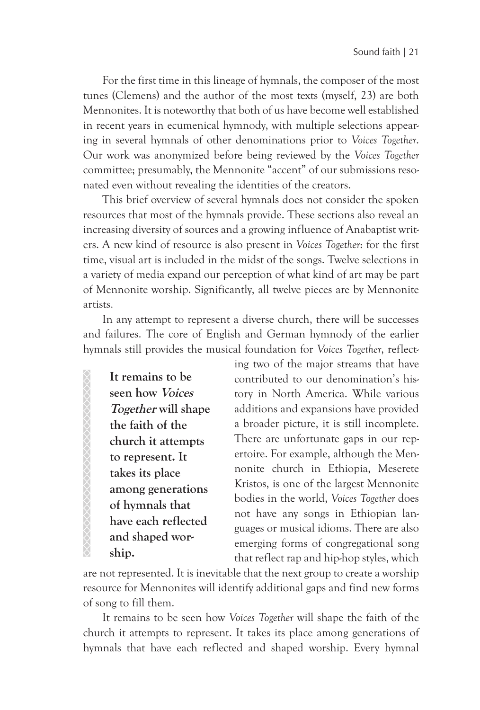For the first time in this lineage of hymnals, the composer of the most tunes (Clemens) and the author of the most texts (myself, 23) are both Mennonites. It is noteworthy that both of us have become well established in recent years in ecumenical hymnody, with multiple selections appearing in several hymnals of other denominations prior to *Voices Together*. Our work was anonymized before being reviewed by the *Voices Together* committee; presumably, the Mennonite "accent" of our submissions resonated even without revealing the identities of the creators.

This brief overview of several hymnals does not consider the spoken resources that most of the hymnals provide. These sections also reveal an increasing diversity of sources and a growing influence of Anabaptist writers. A new kind of resource is also present in *Voices Together*: for the first time, visual art is included in the midst of the songs. Twelve selections in a variety of media expand our perception of what kind of art may be part of Mennonite worship. Significantly, all twelve pieces are by Mennonite artists.

In any attempt to represent a diverse church, there will be successes and failures. The core of English and German hymnody of the earlier hymnals still provides the musical foundation for *Voices Together*, reflect-

**It remains to be seen how Voices Together will shape the faith of the church it attempts to represent. It takes its place among generations of hymnals that have each reflected and shaped worship.**

XXXXXXXXXXXXXXXXXXXXXXX

ing two of the major streams that have contributed to our denomination's history in North America. While various additions and expansions have provided a broader picture, it is still incomplete. There are unfortunate gaps in our repertoire. For example, although the Mennonite church in Ethiopia, Meserete Kristos, is one of the largest Mennonite bodies in the world, *Voices Together* does not have any songs in Ethiopian languages or musical idioms. There are also emerging forms of congregational song that reflect rap and hip-hop styles, which

are not represented. It is inevitable that the next group to create a worship resource for Mennonites will identify additional gaps and find new forms of song to fill them.

It remains to be seen how *Voices Together* will shape the faith of the church it attempts to represent. It takes its place among generations of hymnals that have each reflected and shaped worship. Every hymnal